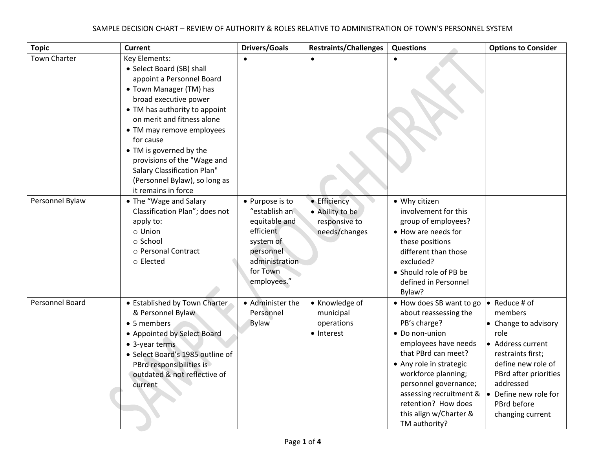| <b>Topic</b>        | <b>Current</b>                                                                                                                                                                                                                                                                                                                                                                               | <b>Drivers/Goals</b>                                                                                                                  | <b>Restraints/Challenges</b>                                      | <b>Questions</b>                                                                                                                                                                                                                                                                                                                 | <b>Options to Consider</b>                                                                                                                                                                                                          |
|---------------------|----------------------------------------------------------------------------------------------------------------------------------------------------------------------------------------------------------------------------------------------------------------------------------------------------------------------------------------------------------------------------------------------|---------------------------------------------------------------------------------------------------------------------------------------|-------------------------------------------------------------------|----------------------------------------------------------------------------------------------------------------------------------------------------------------------------------------------------------------------------------------------------------------------------------------------------------------------------------|-------------------------------------------------------------------------------------------------------------------------------------------------------------------------------------------------------------------------------------|
| <b>Town Charter</b> | Key Elements:<br>• Select Board (SB) shall<br>appoint a Personnel Board<br>• Town Manager (TM) has<br>broad executive power<br>• TM has authority to appoint<br>on merit and fitness alone<br>• TM may remove employees<br>for cause<br>• TM is governed by the<br>provisions of the "Wage and<br><b>Salary Classification Plan"</b><br>(Personnel Bylaw), so long as<br>it remains in force |                                                                                                                                       |                                                                   |                                                                                                                                                                                                                                                                                                                                  |                                                                                                                                                                                                                                     |
| Personnel Bylaw     | • The "Wage and Salary<br>Classification Plan"; does not<br>apply to:<br>o Union<br>o School<br>o Personal Contract<br>○ Elected                                                                                                                                                                                                                                                             | • Purpose is to<br>"establish an<br>equitable and<br>efficient<br>system of<br>personnel<br>administration<br>for Town<br>employees." | • Efficiency<br>• Ability to be<br>responsive to<br>needs/changes | • Why citizen<br>involvement for this<br>group of employees?<br>• How are needs for<br>these positions<br>different than those<br>excluded?<br>• Should role of PB be<br>defined in Personnel<br>Bylaw?                                                                                                                          |                                                                                                                                                                                                                                     |
| Personnel Board     | • Established by Town Charter<br>& Personnel Bylaw<br>• 5 members<br>• Appointed by Select Board<br>• 3-year terms<br>• Select Board's 1985 outline of<br>PBrd responsibilities is<br>outdated & not reflective of<br>current                                                                                                                                                                | • Administer the<br>Personnel<br><b>Bylaw</b>                                                                                         | • Knowledge of<br>municipal<br>operations<br>• Interest           | • How does SB want to go<br>about reassessing the<br>PB's charge?<br>• Do non-union<br>employees have needs<br>that PBrd can meet?<br>• Any role in strategic<br>workforce planning;<br>personnel governance;<br>assessing recruitment & $\vert \bullet \vert$<br>retention? How does<br>this align w/Charter &<br>TM authority? | Reduce # of<br>$\bullet$<br>members<br>• Change to advisory<br>role<br>• Address current<br>restraints first;<br>define new role of<br>PBrd after priorities<br>addressed<br>Define new role for<br>PBrd before<br>changing current |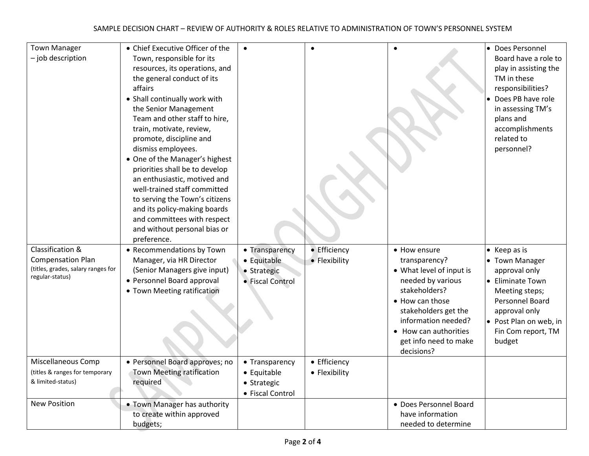| <b>Town Manager</b><br>- job description                                                              | • Chief Executive Officer of the<br>Town, responsible for its<br>resources, its operations, and<br>the general conduct of its<br>affairs<br>• Shall continually work with<br>the Senior Management<br>Team and other staff to hire,<br>train, motivate, review,<br>promote, discipline and<br>dismiss employees.<br>• One of the Manager's highest<br>priorities shall be to develop<br>an enthusiastic, motived and<br>well-trained staff committed<br>to serving the Town's citizens<br>and its policy-making boards<br>and committees with respect<br>and without personal bias or<br>preference. | $\bullet$                                                        | $\bullet$                     |                                                                                                                                                                                                                                   | • Does Personnel<br>Board have a role to<br>play in assisting the<br>TM in these<br>responsibilities?<br>Does PB have role<br>in assessing TM's<br>plans and<br>accomplishments<br>related to<br>personnel? |
|-------------------------------------------------------------------------------------------------------|------------------------------------------------------------------------------------------------------------------------------------------------------------------------------------------------------------------------------------------------------------------------------------------------------------------------------------------------------------------------------------------------------------------------------------------------------------------------------------------------------------------------------------------------------------------------------------------------------|------------------------------------------------------------------|-------------------------------|-----------------------------------------------------------------------------------------------------------------------------------------------------------------------------------------------------------------------------------|-------------------------------------------------------------------------------------------------------------------------------------------------------------------------------------------------------------|
| Classification &<br><b>Compensation Plan</b><br>(titles, grades, salary ranges for<br>regular-status) | • Recommendations by Town<br>Manager, via HR Director<br>(Senior Managers give input)<br>• Personnel Board approval<br>• Town Meeting ratification                                                                                                                                                                                                                                                                                                                                                                                                                                                   | • Transparency<br>• Equitable<br>• Strategic<br>• Fiscal Control | • Efficiency<br>• Flexibility | • How ensure<br>transparency?<br>• What level of input is<br>needed by various<br>stakeholders?<br>• How can those<br>stakeholders get the<br>information needed?<br>• How can authorities<br>get info need to make<br>decisions? | $\bullet$ Keep as is<br>• Town Manager<br>approval only<br>• Eliminate Town<br>Meeting steps;<br>Personnel Board<br>approval only<br>• Post Plan on web, in<br>Fin Com report, TM<br>budget                 |
| Miscellaneous Comp<br>(titles & ranges for temporary<br>& limited-status)<br><b>New Position</b>      | • Personnel Board approves; no<br>Town Meeting ratification<br>required<br>• Town Manager has authority                                                                                                                                                                                                                                                                                                                                                                                                                                                                                              | • Transparency<br>• Equitable<br>• Strategic<br>• Fiscal Control | • Efficiency<br>• Flexibility | · Does Personnel Board                                                                                                                                                                                                            |                                                                                                                                                                                                             |
|                                                                                                       | to create within approved<br>budgets;                                                                                                                                                                                                                                                                                                                                                                                                                                                                                                                                                                |                                                                  |                               | have information<br>needed to determine                                                                                                                                                                                           |                                                                                                                                                                                                             |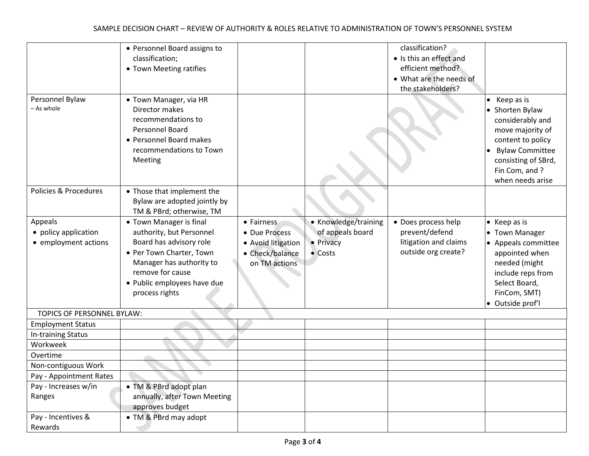|                            | • Personnel Board assigns to |                    |                      | classification?         |                        |
|----------------------------|------------------------------|--------------------|----------------------|-------------------------|------------------------|
|                            | classification;              |                    |                      | • Is this an effect and |                        |
|                            | • Town Meeting ratifies      |                    |                      | efficient method?       |                        |
|                            |                              |                    |                      | • What are the needs of |                        |
|                            |                              |                    |                      | the stakeholders?       |                        |
| Personnel Bylaw            | • Town Manager, via HR       |                    |                      |                         | Keep as is             |
| - As whole                 | Director makes               |                    |                      |                         | • Shorten Bylaw        |
|                            | recommendations to           |                    |                      |                         | considerably and       |
|                            | Personnel Board              |                    |                      |                         | move majority of       |
|                            | • Personnel Board makes      |                    |                      |                         | content to policy      |
|                            | recommendations to Town      |                    |                      |                         | <b>Bylaw Committee</b> |
|                            | Meeting                      |                    |                      |                         | consisting of SBrd,    |
|                            |                              |                    |                      |                         | Fin Com, and ?         |
|                            |                              |                    |                      |                         | when needs arise       |
| Policies & Procedures      | • Those that implement the   |                    |                      |                         |                        |
|                            | Bylaw are adopted jointly by |                    |                      |                         |                        |
|                            | TM & PBrd; otherwise, TM     |                    |                      |                         |                        |
| Appeals                    | • Town Manager is final      | • Fairness         | • Knowledge/training | • Does process help     | $\bullet$ Keep as is   |
| • policy application       | authority, but Personnel     | • Due Process      | of appeals board     | prevent/defend          | • Town Manager         |
| • employment actions       | Board has advisory role      | • Avoid litigation | • Privacy            | litigation and claims   | • Appeals committee    |
|                            | • Per Town Charter, Town     | • Check/balance    | $\bullet$ Costs      | outside org create?     | appointed when         |
|                            | Manager has authority to     | on TM actions      |                      |                         | needed (might          |
|                            | remove for cause             |                    |                      |                         | include reps from      |
|                            | • Public employees have due  |                    |                      |                         | Select Board,          |
|                            | process rights               |                    |                      |                         | FinCom, SMT)           |
|                            |                              |                    |                      |                         | · Outside prof'l       |
| TOPICS OF PERSONNEL BYLAW: |                              |                    |                      |                         |                        |
| <b>Employment Status</b>   |                              |                    |                      |                         |                        |
| In-training Status         |                              |                    |                      |                         |                        |
| Workweek                   |                              |                    |                      |                         |                        |
| Overtime                   |                              |                    |                      |                         |                        |
| Non-contiguous Work        |                              |                    |                      |                         |                        |
| Pay - Appointment Rates    |                              |                    |                      |                         |                        |
| Pay - Increases w/in       | • TM & PBrd adopt plan       |                    |                      |                         |                        |
| Ranges                     | annually, after Town Meeting |                    |                      |                         |                        |
|                            | approves budget              |                    |                      |                         |                        |
| Pay - Incentives &         | • TM & PBrd may adopt        |                    |                      |                         |                        |
| Rewards                    |                              |                    |                      |                         |                        |